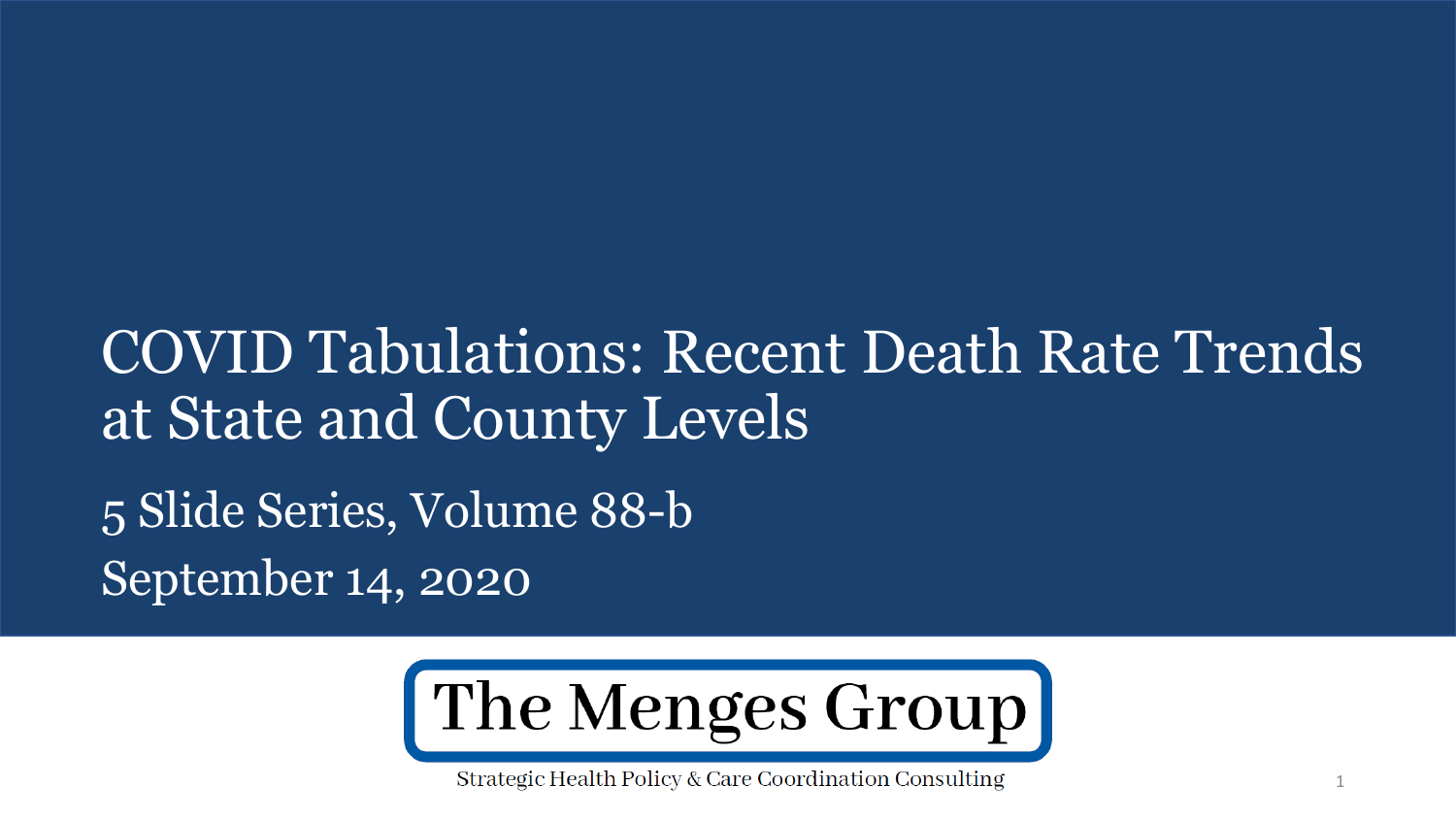# COVID Tabulations: Recent Death Rate Trends at State and County Levels 5 Slide Series, Volume 88-b September 14, 2020



Strategic Health Policy & Care Coordination Consulting

1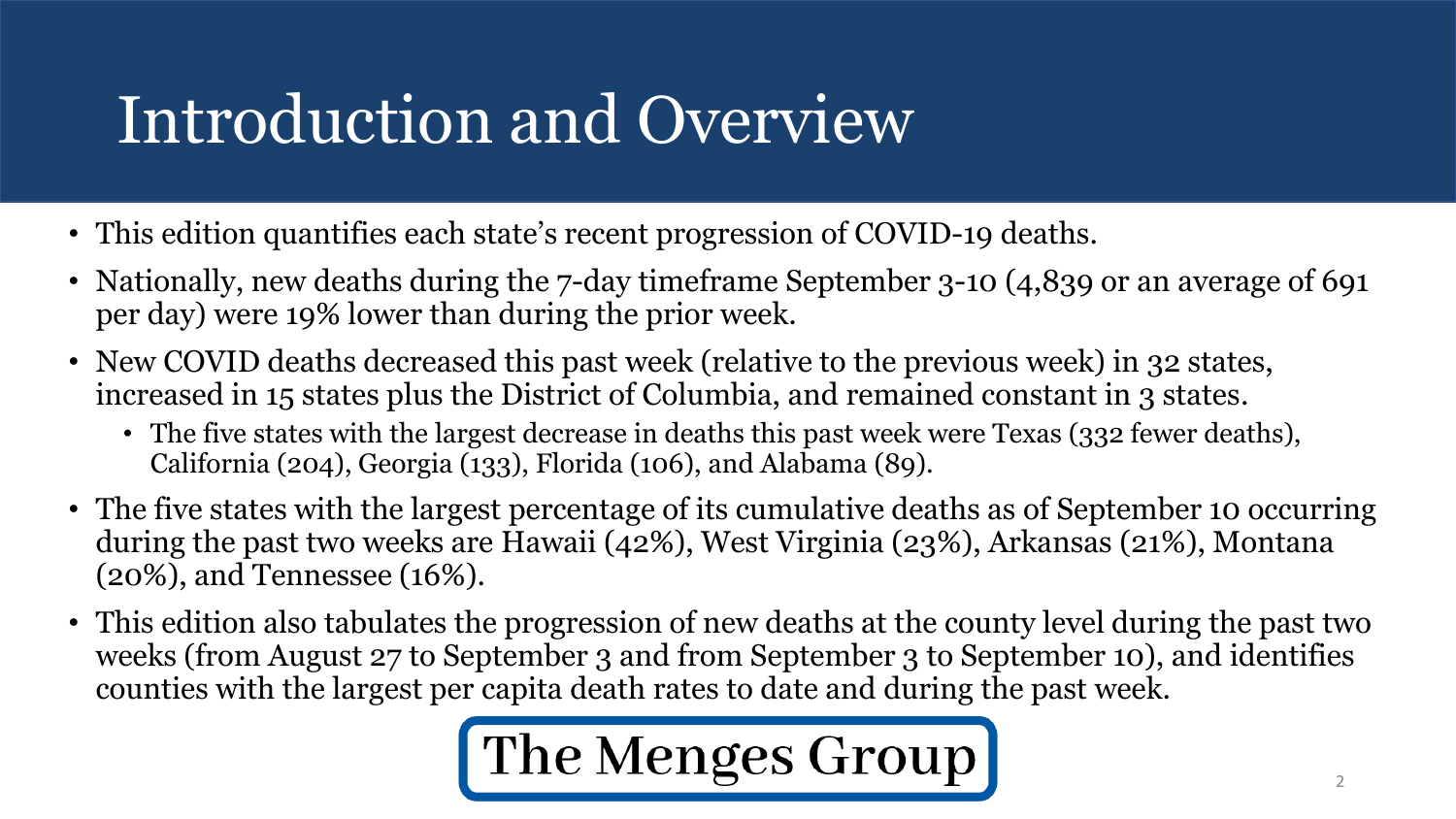# Introduction and Overview

- This edition quantifies each state's recent progression of COVID-19 deaths.
- Nationally, new deaths during the 7-day timeframe September 3-10 (4,839 or an average of 691 per day) were 19% lower than during the prior week.
- New COVID deaths decreased this past week (relative to the previous week) in 32 states, increased in 15 states plus the District of Columbia, and remained constant in 3 states.
	- The five states with the largest decrease in deaths this past week were Texas (332 fewer deaths), California (204), Georgia (133), Florida (106), and Alabama (89).
- The five states with the largest percentage of its cumulative deaths as of September 10 occurring during the past two weeks are Hawaii (42%), West Virginia (23%), Arkansas (21%), Montana (20%), and Tennessee (16%).
- This edition also tabulates the progression of new deaths at the county level during the past two weeks (from August 27 to September 3 and from September 3 to September 10), and identifies counties with the largest per capita death rates to date and during the past week.

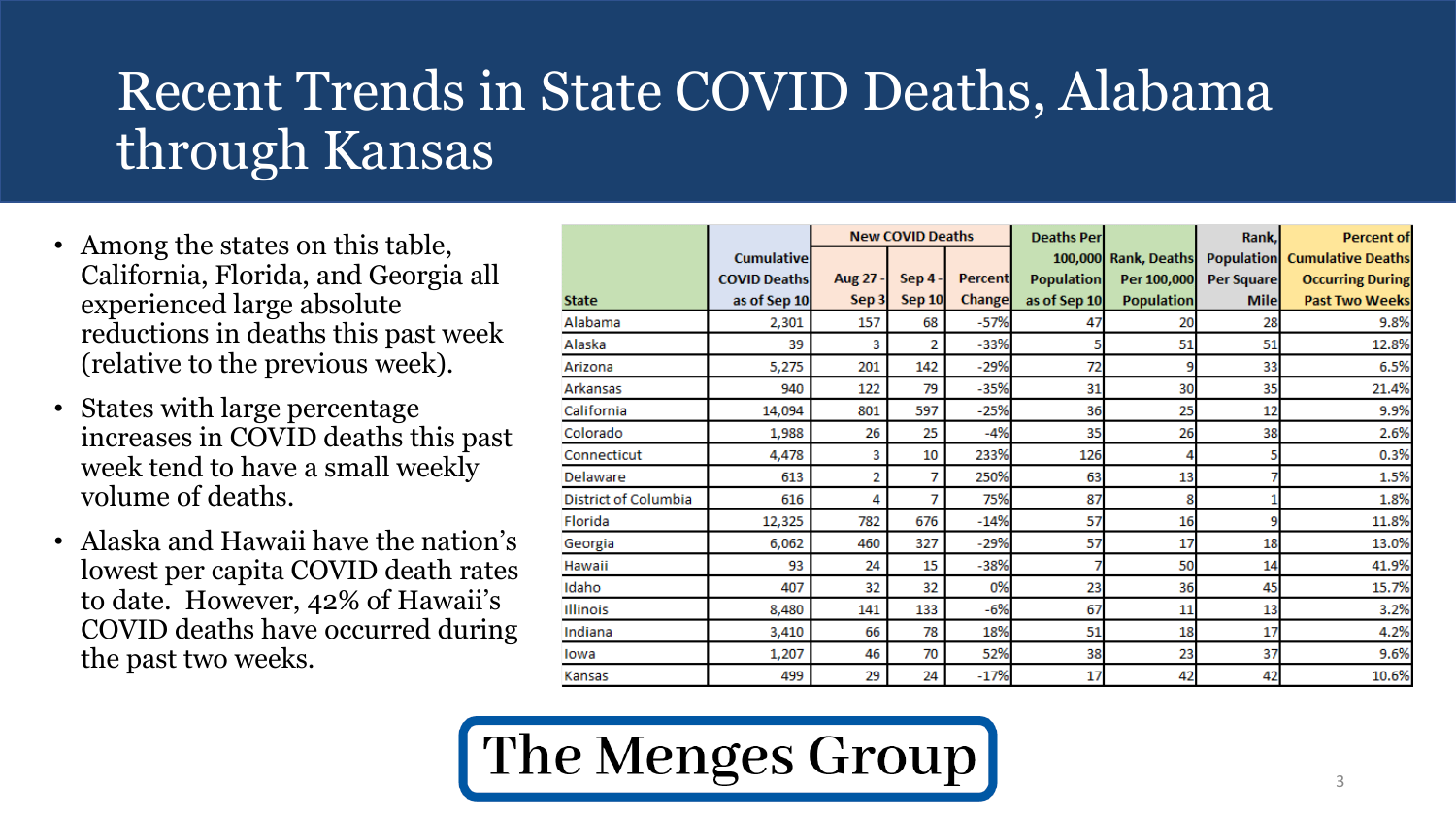## Recent Trends in State COVID Deaths, Alabama through Kansas

- Among the states on this table, California, Florida, and Georgia all experienced large absolute reductions in deaths this past week (relative to the previous week).
- States with large percentage increases in COVID deaths this past week tend to have a small weekly volume of deaths.
- Alaska and Hawaii have the nation's lowest per capita COVID death rates to date. However, 42% of Hawaii's COVID deaths have occurred during the past two weeks.

|                      |                                                          | <b>New COVID Deaths</b> |                                 | <b>Deaths Per</b>        |                                   | Rank,                            | <b>Percent of</b>         |                                                                                                       |
|----------------------|----------------------------------------------------------|-------------------------|---------------------------------|--------------------------|-----------------------------------|----------------------------------|---------------------------|-------------------------------------------------------------------------------------------------------|
| <b>State</b>         | <b>Cumulative</b><br><b>COVID Deaths</b><br>as of Sep 10 | Aug 27 -<br>Sep 3       | <b>Sep 4 -</b><br><b>Sep 10</b> | <b>Percent</b><br>Change | <b>Population</b><br>as of Sep 10 | Per 100,000<br><b>Population</b> | Per Square<br><b>Mile</b> | 100,000 Rank, Deaths Population Cumulative Deaths<br><b>Occurring During</b><br><b>Past Two Weeks</b> |
| Alabama              | 2,301                                                    | 157                     | 68                              | $-57%$                   | 47                                | 20                               | 28                        | 9.8%                                                                                                  |
| Alaska               | 39                                                       | 3                       | 2                               | $-33%$                   |                                   | 51                               | 51                        | 12.8%                                                                                                 |
| Arizona              | 5,275                                                    | 201                     | 142                             | $-29%$                   | 72                                | 9                                | 33                        | 6.5%                                                                                                  |
| Arkansas             | 940                                                      | 122                     | 79                              | $-35%$                   | 31                                | 30                               | 35                        | 21.4%                                                                                                 |
| California           | 14,094                                                   | 801                     | 597                             | -25%                     | 36                                | 25                               | 12                        | 9.9%                                                                                                  |
| Colorado             | 1,988                                                    | 26                      | 25                              | -4%                      | 35                                | 26                               | 38                        | 2.6%                                                                                                  |
| Connecticut          | 4,478                                                    | 3                       | 10                              | 233%                     | 126                               |                                  |                           | 0.3%                                                                                                  |
| Delaware             | 613                                                      | 2                       | 7                               | 250%                     | 63                                | 13                               |                           | 1.5%                                                                                                  |
| District of Columbia | 616                                                      | 4                       | 7                               | 75%                      | 87                                | 8                                |                           | 1.8%                                                                                                  |
| Florida              | 12,325                                                   | 782                     | 676                             | $-14%$                   | 57                                | 16                               | 9                         | 11.8%                                                                                                 |
| Georgia              | 6,062                                                    | 460                     | 327                             | $-29%$                   | 57                                | 17                               | 18                        | 13.0%                                                                                                 |
| Hawaii               | 93                                                       | 24                      | 15                              | $-38%$                   |                                   | 50                               | 14                        | 41.9%                                                                                                 |
| Idaho                | 407                                                      | 32                      | 32                              | 0%                       | 23                                | 36                               | 45                        | 15.7%                                                                                                 |
| Illinois             | 8,480                                                    | 141                     | 133                             | $-6%$                    | 67                                | 11                               | 13                        | 3.2%                                                                                                  |
| Indiana              | 3,410                                                    | 66                      | 78                              | 18%                      | 51                                | 18                               | 17                        | 4.2%                                                                                                  |
| lowa                 | 1,207                                                    | 46                      | 70                              | 52%                      | 38                                | 23                               | 37                        | 9.6%                                                                                                  |
| Kansas               | 499                                                      | 29                      | 24                              | $-17%$                   | 17                                | 42                               | 42                        | 10.6%                                                                                                 |

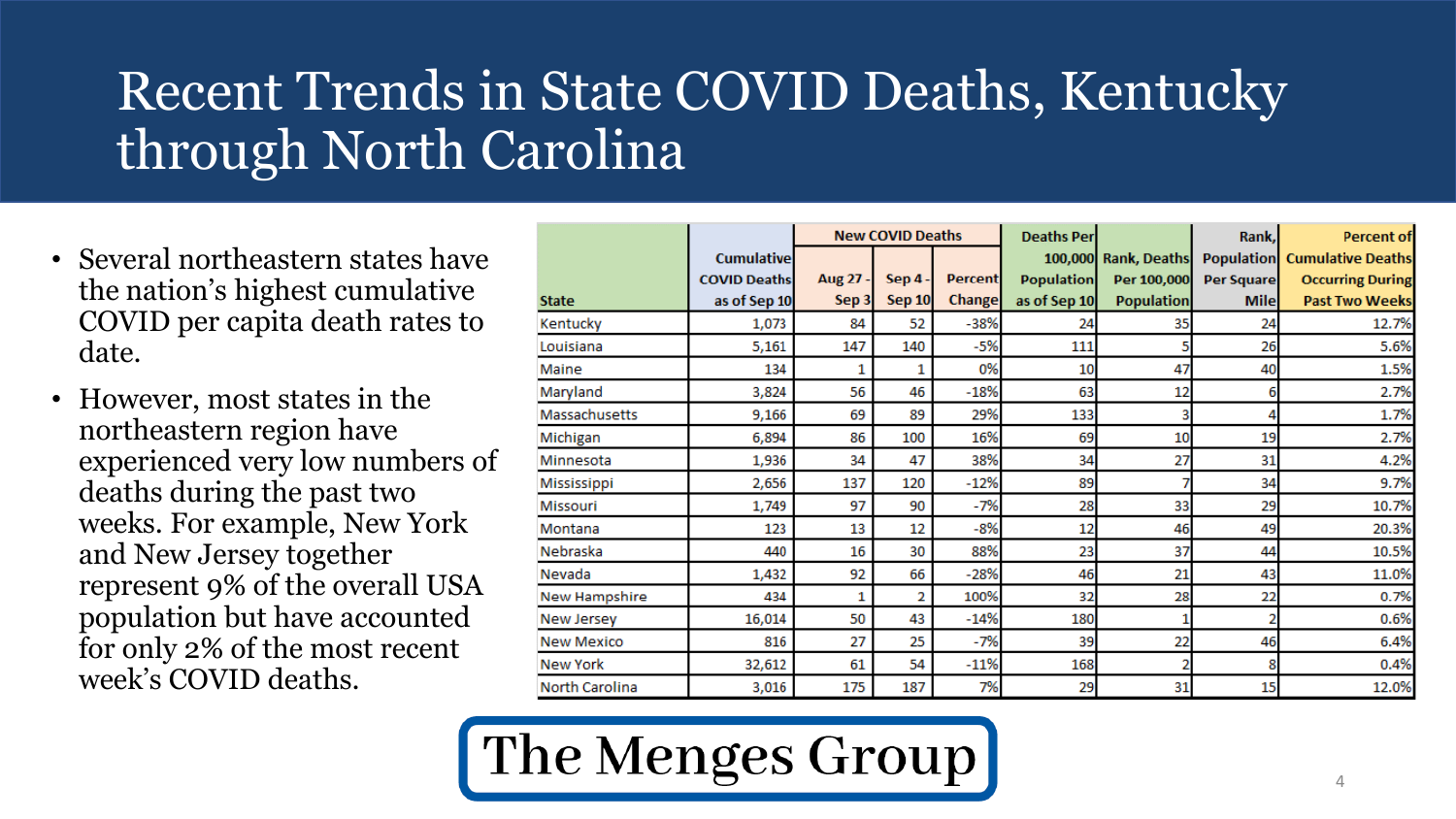## Recent Trends in State COVID Deaths, Kentucky through North Carolina

- Several northeastern states have the nation's highest cumulative COVID per capita death rates to date.
- However, most states in the northeastern region have experienced very low numbers of deaths during the past two weeks. For example, New York and New Jersey together represent 9% of the overall USA population but have accounted for only 2% of the most recent week's COVID deaths.

|                      |                     | <b>New COVID Deaths</b> |                |                | <b>Deaths Per</b> |                      | Rank,       | <b>Percent of</b>                   |
|----------------------|---------------------|-------------------------|----------------|----------------|-------------------|----------------------|-------------|-------------------------------------|
|                      | <b>Cumulative</b>   |                         |                |                |                   | 100,000 Rank, Deaths |             | <b>Population Cumulative Deaths</b> |
|                      | <b>COVID Deaths</b> | Aug 27 -                | <b>Sep 4 -</b> | <b>Percent</b> | <b>Population</b> | Per 100,000          | Per Square  | <b>Occurring During</b>             |
| <b>State</b>         | as of Sep 10        | Sep 3                   | <b>Sep 10</b>  | <b>Change</b>  | as of Sep 10      | <b>Population</b>    | <b>Mile</b> | <b>Past Two Weeks</b>               |
| Kentucky             | 1,073               | 84                      | 52             | $-38%$         | 24                | 35                   | 24          | 12.7%                               |
| Louisiana            | 5,161               | 147                     | 140            | $-5%$          | 111               |                      | 26          | 5.6%                                |
| Maine                | 134                 |                         | 1              | 0%             | 10                | 47                   | 40          | 1.5%                                |
| Maryland             | 3,824               | 56                      | 46             | $-18%$         | 63                | 12                   | 6           | 2.7%                                |
| <b>Massachusetts</b> | 9,166               | 69                      | 89             | 29%            | 133               |                      |             | 1.7%                                |
| Michigan             | 6,894               | 86                      | 100            | 16%            | 69                | 10                   | 19          | 2.7%                                |
| Minnesota            | 1,936               | 34                      | 47             | 38%            | 34                | 27                   | 31          | 4.2%                                |
| Mississippi          | 2,656               | 137                     | 120            | $-12%$         | 89                |                      | 34          | 9.7%                                |
| Missouri             | 1,749               | 97                      | 90             | $-7%$          | 28                | 33                   | 29          | 10.7%                               |
| Montana              | 123                 | 13                      | 12             | $-8%$          | 12                | 46                   | 49          | 20.3%                               |
| Nebraska             | 440                 | 16                      | 30             | 88%            | 23                | 37                   | 44          | 10.5%                               |
| Nevada               | 1,432               | 92                      | 66             | $-28%$         | 46                | 21                   | 43          | 11.0%                               |
| New Hampshire        | 434                 | 1                       | 2              | 100%           | 32                | 28                   | 22          | 0.7%                                |
| New Jersey           | 16,014              | 50                      | 43             | $-14%$         | 180               |                      |             | 0.6%                                |
| <b>New Mexico</b>    | 816                 | 27                      | 25             | $-7%$          | 39                | 22                   | 46          | 6.4%                                |
| New York             | 32,612              | 61                      | 54             | $-11%$         | 168               | 2                    | 8           | 0.4%                                |
| North Carolina       | 3,016               | 175                     | 187            | 7%             | 29                | 31                   | 15          | 12.0%                               |

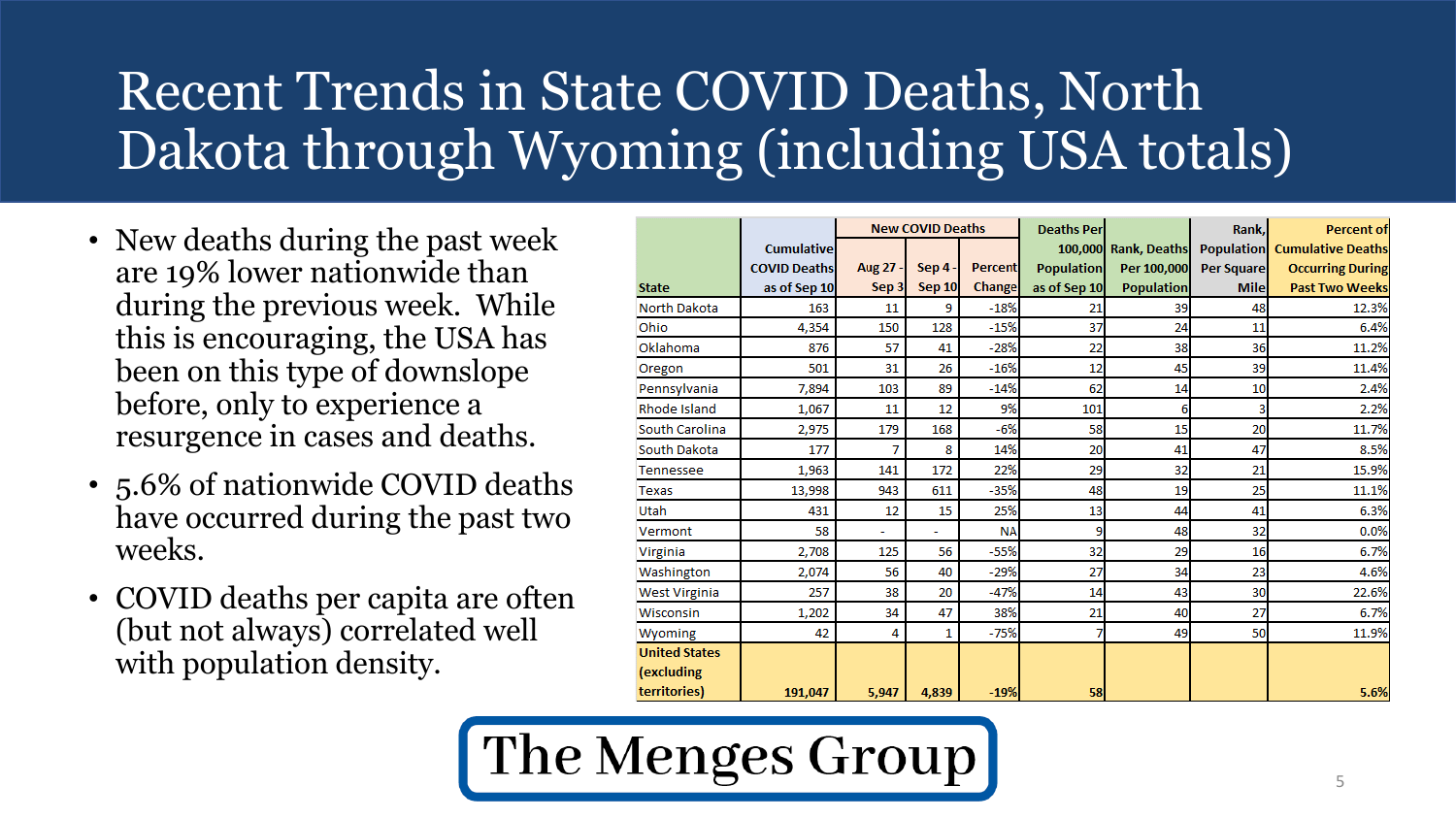## Recent Trends in State COVID Deaths, North Dakota through Wyoming (including USA totals)

- New deaths during the past week are 19% lower nationwide than during the previous week. While this is encouraging, the USA has been on this type of downslope before, only to experience a resurgence in cases and deaths.
- 5.6% of nationwide COVID deaths have occurred during the past two weeks.
- COVID deaths per capita are often (but not always) correlated well with population density.

|                                    |                     | <b>New COVID Deaths</b> |                | <b>Deaths Per</b> |                   | Rank,                | <b>Percent of</b> |                                     |
|------------------------------------|---------------------|-------------------------|----------------|-------------------|-------------------|----------------------|-------------------|-------------------------------------|
|                                    | <b>Cumulative</b>   |                         |                |                   |                   | 100,000 Rank, Deaths |                   | <b>Population Cumulative Deaths</b> |
|                                    | <b>COVID Deaths</b> | <b>Aug 27</b>           | <b>Sep 4 -</b> | <b>Percent</b>    | <b>Population</b> | Per 100,000          | <b>Per Square</b> | <b>Occurring During</b>             |
| <b>State</b>                       | as of Sep 10        | Sep 3                   | Sep 10         | Change            | as of Sep 10      | <b>Population</b>    | <b>Mile</b>       | <b>Past Two Weeks</b>               |
| North Dakota                       | 163                 | 11                      | 9              | $-18%$            | 21                | 39                   | 48                | 12.3%                               |
| Ohio                               | 4,354               | 150                     | 128            | $-15%$            | 37                | 24                   | 11                | 6.4%                                |
| Oklahoma                           | 876                 | 57                      | 41             | $-28%$            | 22                | 38                   | 36                | 11.2%                               |
| Oregon                             | 501                 | 31                      | 26             | $-16%$            | 12                | 45                   | 39                | 11.4%                               |
| Pennsylvania                       | 7,894               | 103                     | 89             | $-14%$            | 62                | 14                   | 10                | 2.4%                                |
| Rhode Island                       | 1,067               | 11                      | 12             | 9%                | 101               | 6                    | 3                 | 2.2%                                |
| South Carolina                     | 2,975               | 179                     | 168            | $-6%$             | 58                | 15                   | 20                | 11.7%                               |
| South Dakota                       | 177                 | 7                       | 8              | 14%               | 20                | 41                   | 47                | 8.5%                                |
| <b>Tennessee</b>                   | 1,963               | 141                     | 172            | 22%               | 29                | 32                   | 21                | 15.9%                               |
| Texas                              | 13,998              | 943                     | 611            | $-35%$            | 48                | 19                   | 25                | 11.1%                               |
| Utah                               | 431                 | 12                      | 15             | 25%               | 13                | 44                   | 41                | 6.3%                                |
| Vermont                            | 58                  | ۰                       |                | <b>NA</b>         | 9                 | 48                   | 32                | 0.0%                                |
| Virginia                           | 2,708               | 125                     | 56             | $-55%$            | 32                | 29                   | 16                | 6.7%                                |
| Washington                         | 2,074               | 56                      | 40             | $-29%$            | 27                | 34                   | 23                | 4.6%                                |
| West Virginia                      | 257                 | 38                      | 20             | $-47%$            | 14                | 43                   | 30                | 22.6%                               |
| Wisconsin                          | 1,202               | 34                      | 47             | 38%               | 21                | 40                   | 27                | 6.7%                                |
| Wyoming                            | 42                  | 4                       | 1              | $-75%$            |                   | 49                   | 50                | 11.9%                               |
| <b>United States</b><br>(excluding |                     |                         |                |                   |                   |                      |                   |                                     |
| territories)                       | 191.047             | 5.947                   | 4.839          | $-19%$            | 58                |                      |                   | 5.6%                                |

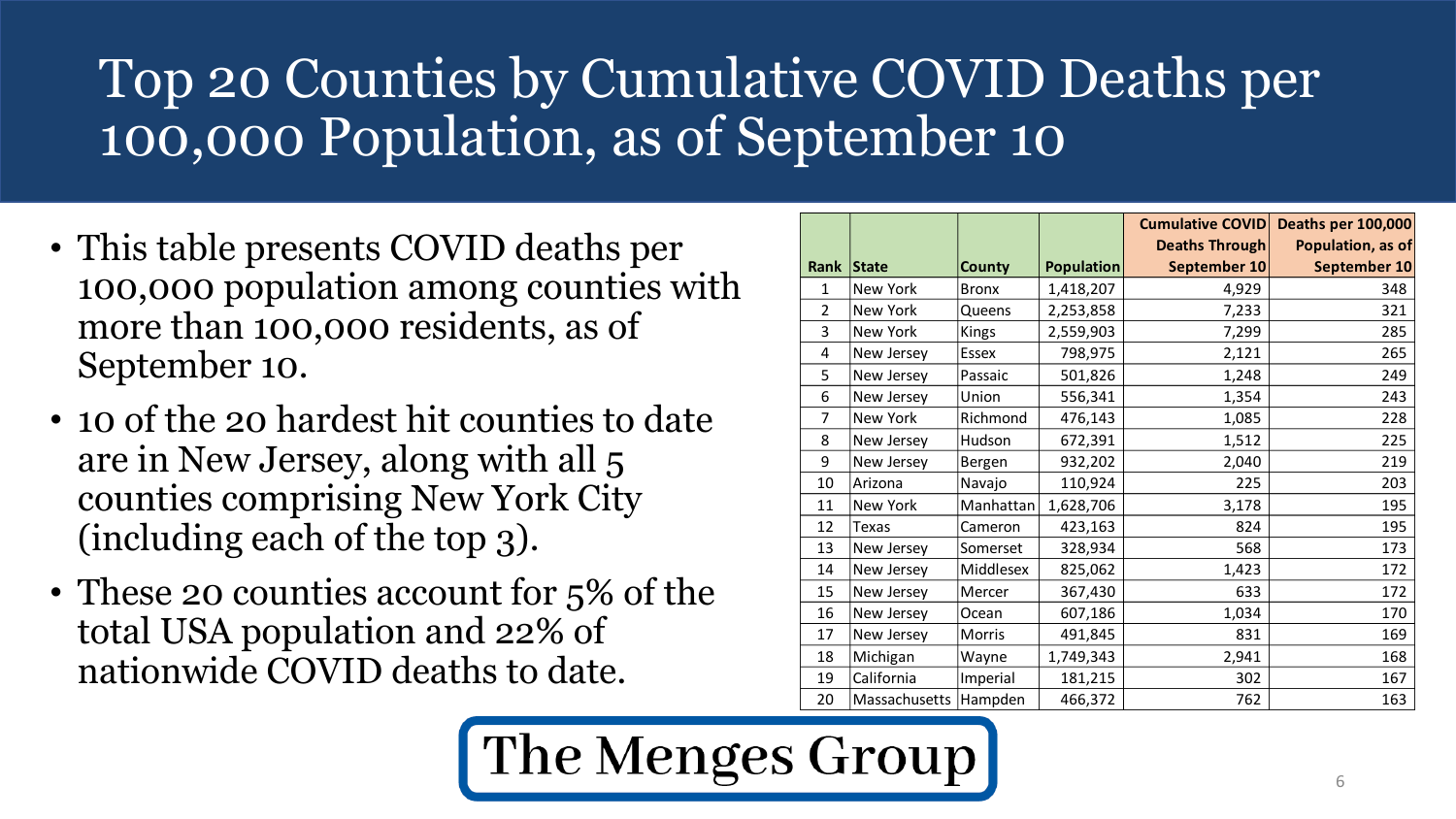## Top 20 Counties by Cumulative COVID Deaths per 100,000 Population, as of September 10

- This table presents COVID deaths per 100,000 population among counties with more than 100,000 residents, as of September 10.
- 10 of the 20 hardest hit counties to date are in New Jersey, along with all 5 counties comprising New York City (including each of the top 3).
- These 20 counties account for 5% of the total USA population and 22% of nationwide COVID deaths to date.

|                |               |               |                   | <b>Cumulative COVID</b><br><b>Deaths Through</b> | <b>Deaths per 100,000</b><br>Population, as of |
|----------------|---------------|---------------|-------------------|--------------------------------------------------|------------------------------------------------|
| <b>Rank</b>    | State         | <b>County</b> | <b>Population</b> | September 10                                     | September 10                                   |
| 1              | New York      | <b>Bronx</b>  | 1,418,207         | 4,929                                            | 348                                            |
| $\overline{2}$ | New York      | Queens        | 2,253,858         | 7,233                                            | 321                                            |
| 3              | New York      | Kings         | 2,559,903         | 7,299                                            | 285                                            |
| $\overline{4}$ | New Jersey    | <b>Essex</b>  | 798,975           | 2,121                                            | 265                                            |
| 5              | New Jersey    | Passaic       | 501,826           | 1,248                                            | 249                                            |
| 6              | New Jersey    | Union         | 556,341           | 1,354                                            | 243                                            |
| 7              | New York      | Richmond      | 476,143           | 1,085                                            | 228                                            |
| 8              | New Jersey    | Hudson        | 672,391           | 1,512                                            | 225                                            |
| 9              | New Jersey    | Bergen        | 932,202           | 2,040                                            | 219                                            |
| 10             | Arizona       | Navajo        | 110,924           | 225                                              | 203                                            |
| 11             | New York      | Manhattan     | 1,628,706         | 3,178                                            | 195                                            |
| 12             | Texas         | Cameron       | 423,163           | 824                                              | 195                                            |
| 13             | New Jersey    | Somerset      | 328,934           | 568                                              | 173                                            |
| 14             | New Jersey    | Middlesex     | 825,062           | 1,423                                            | 172                                            |
| 15             | New Jersey    | Mercer        | 367,430           | 633                                              | 172                                            |
| 16             | New Jersey    | Ocean         | 607,186           | 1,034                                            | 170                                            |
| 17             | New Jersey    | Morris        | 491,845           | 831                                              | 169                                            |
| 18             | Michigan      | Wayne         | 1,749,343         | 2,941                                            | 168                                            |
| 19             | California    | Imperial      | 181,215           | 302                                              | 167                                            |
| 20             | Massachusetts | Hampden       | 466,372           | 762                                              | 163                                            |

The Menges Group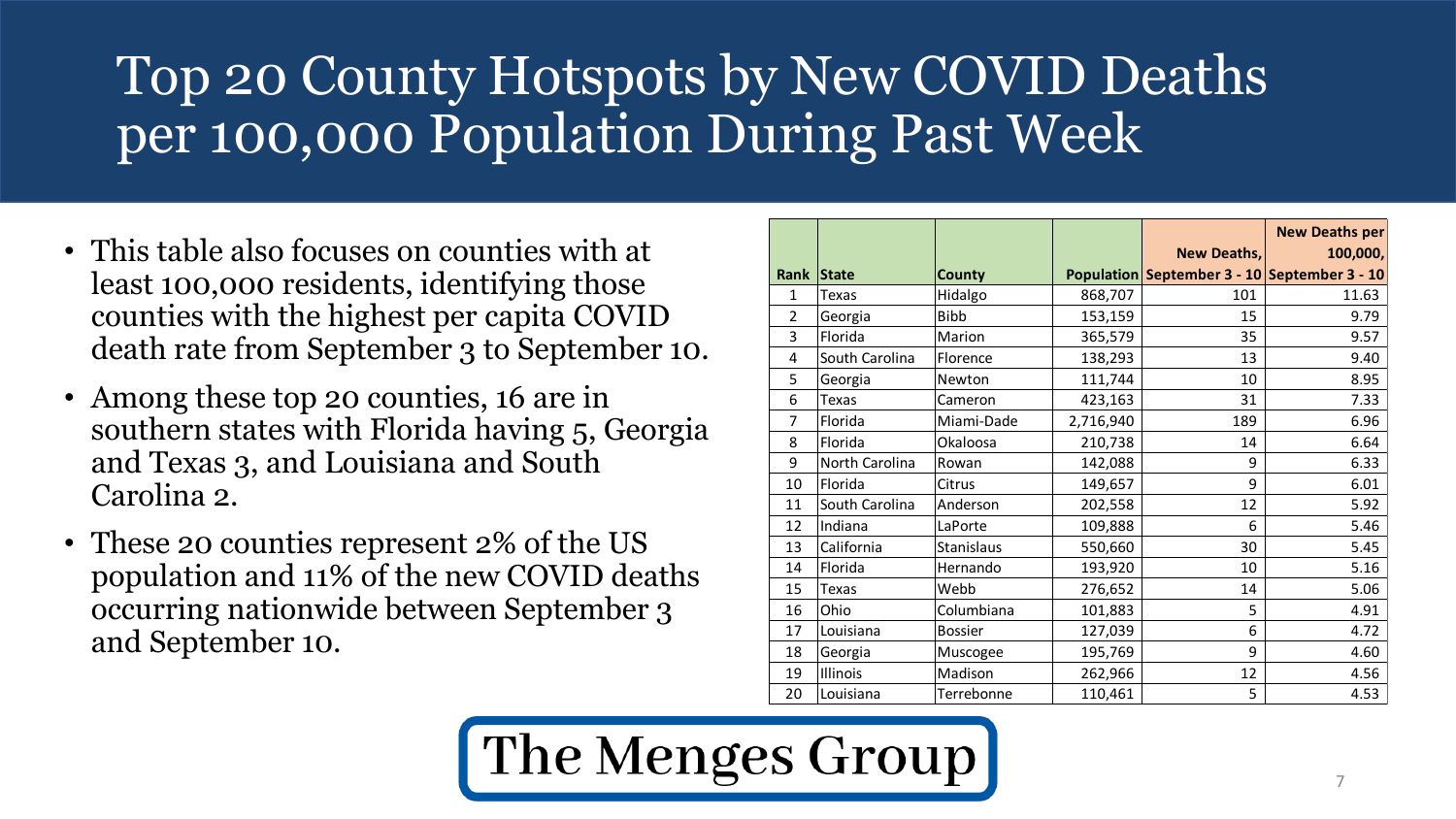### Top 20 County Hotspots by New COVID Deaths per 100,000 Population During Past Week

- This table also focuses on counties with at least 100,000 residents, identifying those counties with the highest per capita COVID death rate from September 3 to September 10.
- Among these top 20 counties, 16 are in southern states with Florida having 5, Georgia and Texas 3, and Louisiana and South Carolina 2.
- These 20 counties represent 2% of the US population and 11% of the new COVID deaths occurring nationwide between September 3 and September 10.

|                |                |                |           |             | <b>New Deaths per</b>                                    |
|----------------|----------------|----------------|-----------|-------------|----------------------------------------------------------|
| <b>Rank</b>    | <b>State</b>   | <b>County</b>  |           | New Deaths, | 100,000,<br>Population September 3 - 10 September 3 - 10 |
| 1              | Texas          | Hidalgo        | 868,707   | 101         | 11.63                                                    |
| $\overline{2}$ | Georgia        | <b>Bibb</b>    | 153,159   | 15          | 9.79                                                     |
| 3              | Florida        | Marion         | 365,579   | 35          | 9.57                                                     |
| 4              | South Carolina | Florence       | 138,293   | 13          | 9.40                                                     |
| 5              | Georgia        | Newton         | 111,744   | 10          | 8.95                                                     |
| 6              | <b>Texas</b>   | Cameron        | 423,163   | 31          | 7.33                                                     |
| 7              | Florida        | Miami-Dade     | 2,716,940 | 189         | 6.96                                                     |
| 8              | Florida        | Okaloosa       | 210,738   | 14          | 6.64                                                     |
| 9              | North Carolina | Rowan          | 142,088   | 9           | 6.33                                                     |
| 10             | Florida        | Citrus         | 149,657   | 9           | 6.01                                                     |
| 11             | South Carolina | Anderson       | 202,558   | 12          | 5.92                                                     |
| 12             | Indiana        | LaPorte        | 109,888   | 6           | 5.46                                                     |
| 13             | California     | Stanislaus     | 550,660   | 30          | 5.45                                                     |
| 14             | Florida        | Hernando       | 193,920   | 10          | 5.16                                                     |
| 15             | Texas          | Webb           | 276,652   | 14          | 5.06                                                     |
| 16             | Ohio           | Columbiana     | 101,883   | 5           | 4.91                                                     |
| 17             | Louisiana      | <b>Bossier</b> | 127,039   | 6           | 4.72                                                     |
| 18             | Georgia        | Muscogee       | 195,769   | 9           | 4.60                                                     |
| 19             | Illinois       | Madison        | 262,966   | 12          | 4.56                                                     |
| 20             | Louisiana      | Terrebonne     | 110,461   | 5           | 4.53                                                     |

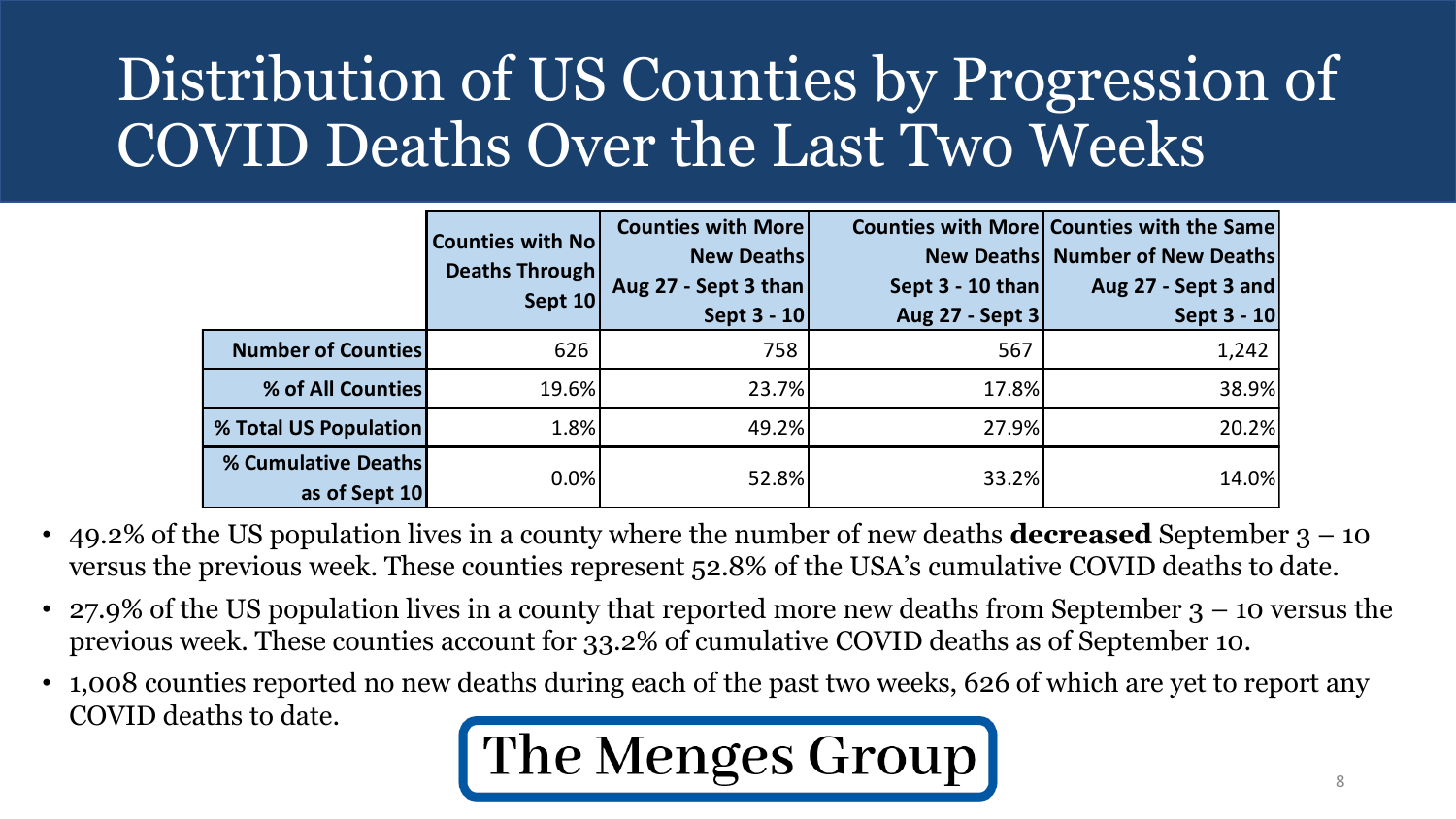# Distribution of US Counties by Progression of COVID Deaths Over the Last Two Weeks

|                                                                                                                                                                                                            |                                      | <b>Counties with No</b><br><b>Deaths Through</b><br>Sept 10 | <b>Counties with More</b><br><b>New Deaths</b><br>Aug 27 - Sept 3 than<br>Sept 3 - 10 | Sept $3 - 10$ than<br>Aug 27 - Sept 3 | <b>Counties with More Counties with the Same</b><br><b>New Deaths Number of New Deaths</b><br>Aug 27 - Sept 3 and<br>Sept 3 - 10 |  |  |
|------------------------------------------------------------------------------------------------------------------------------------------------------------------------------------------------------------|--------------------------------------|-------------------------------------------------------------|---------------------------------------------------------------------------------------|---------------------------------------|----------------------------------------------------------------------------------------------------------------------------------|--|--|
|                                                                                                                                                                                                            | <b>Number of Counties</b>            | 626                                                         | 758                                                                                   | 567                                   | 1,242                                                                                                                            |  |  |
|                                                                                                                                                                                                            | % of All Counties                    | 19.6%                                                       | 23.7%                                                                                 | 17.8%                                 | 38.9%                                                                                                                            |  |  |
|                                                                                                                                                                                                            | % Total US Population                | 1.8%                                                        | 49.2%                                                                                 | 27.9%                                 | 20.2%                                                                                                                            |  |  |
|                                                                                                                                                                                                            | % Cumulative Deaths<br>as of Sept 10 | 0.0%                                                        | 52.8%                                                                                 | 33.2%                                 | 14.0%                                                                                                                            |  |  |
| 49.2% of the US population lives in a county where the number of new deaths <b>decreased</b> September<br>versus the previous week. These counties represent 52.8% of the USA's cumulative COVID deaths to |                                      |                                                             |                                                                                       |                                       |                                                                                                                                  |  |  |
| 27.9% of the US population lives in a county that reported more new deaths from September 3 – 10 v<br>previous week. These counties account for 33.2% of cumulative COVID deaths as of September 10.       |                                      |                                                             |                                                                                       |                                       |                                                                                                                                  |  |  |
| 1,008 counties reported no new deaths during each of the past two weeks, 626 of which are yet to rep<br>COVID deaths to date.                                                                              |                                      |                                                             |                                                                                       |                                       |                                                                                                                                  |  |  |

- 49.2% of the US population lives in a county where the number of new deaths **decreased** September 3 10 versus the previous week. These counties represent 52.8% of the USA's cumulative COVID deaths to date.
- 27.9% of the US population lives in a county that reported more new deaths from September  $3 10$  versus the previous week. These counties account for 33.2% of cumulative COVID deaths as of September 10.
- 1,008 counties reported no new deaths during each of the past two weeks, 626 of which are yet to report any